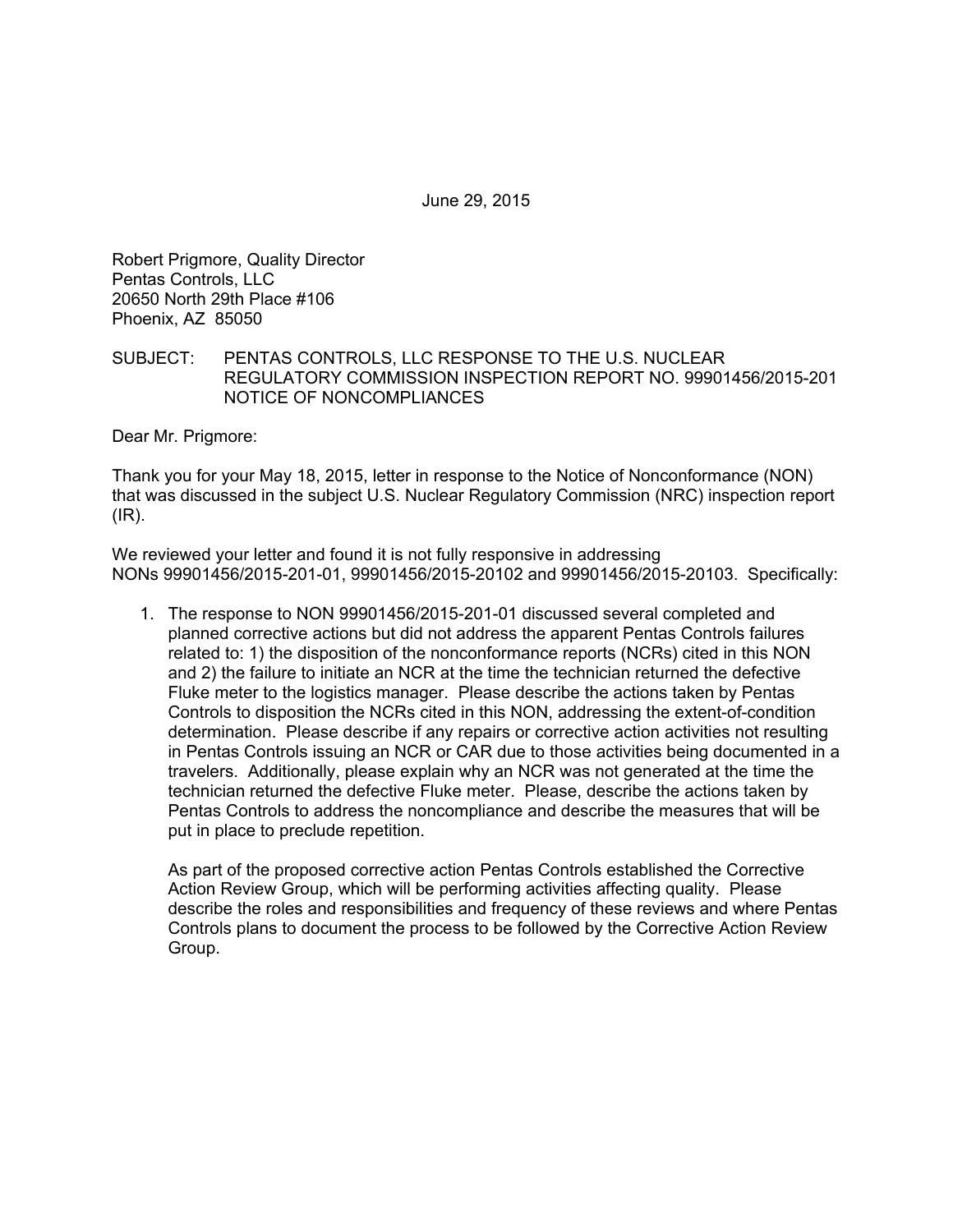June 29, 2015

Robert Prigmore, Quality Director Pentas Controls, LLC 20650 North 29th Place #106 Phoenix, AZ 85050

#### SUBJECT: PENTAS CONTROLS, LLC RESPONSE TO THE U.S. NUCLEAR REGULATORY COMMISSION INSPECTION REPORT NO. 99901456/2015-201 NOTICE OF NONCOMPLIANCES

Dear Mr. Prigmore:

Thank you for your May 18, 2015, letter in response to the Notice of Nonconformance (NON) that was discussed in the subject U.S. Nuclear Regulatory Commission (NRC) inspection report (IR).

We reviewed your letter and found it is not fully responsive in addressing NONs 99901456/2015-201-01, 99901456/2015-20102 and 99901456/2015-20103. Specifically:

1. The response to NON 99901456/2015-201-01 discussed several completed and planned corrective actions but did not address the apparent Pentas Controls failures related to: 1) the disposition of the nonconformance reports (NCRs) cited in this NON and 2) the failure to initiate an NCR at the time the technician returned the defective Fluke meter to the logistics manager. Please describe the actions taken by Pentas Controls to disposition the NCRs cited in this NON, addressing the extent-of-condition determination. Please describe if any repairs or corrective action activities not resulting in Pentas Controls issuing an NCR or CAR due to those activities being documented in a travelers. Additionally, please explain why an NCR was not generated at the time the technician returned the defective Fluke meter. Please, describe the actions taken by Pentas Controls to address the noncompliance and describe the measures that will be put in place to preclude repetition.

As part of the proposed corrective action Pentas Controls established the Corrective Action Review Group, which will be performing activities affecting quality. Please describe the roles and responsibilities and frequency of these reviews and where Pentas Controls plans to document the process to be followed by the Corrective Action Review Group.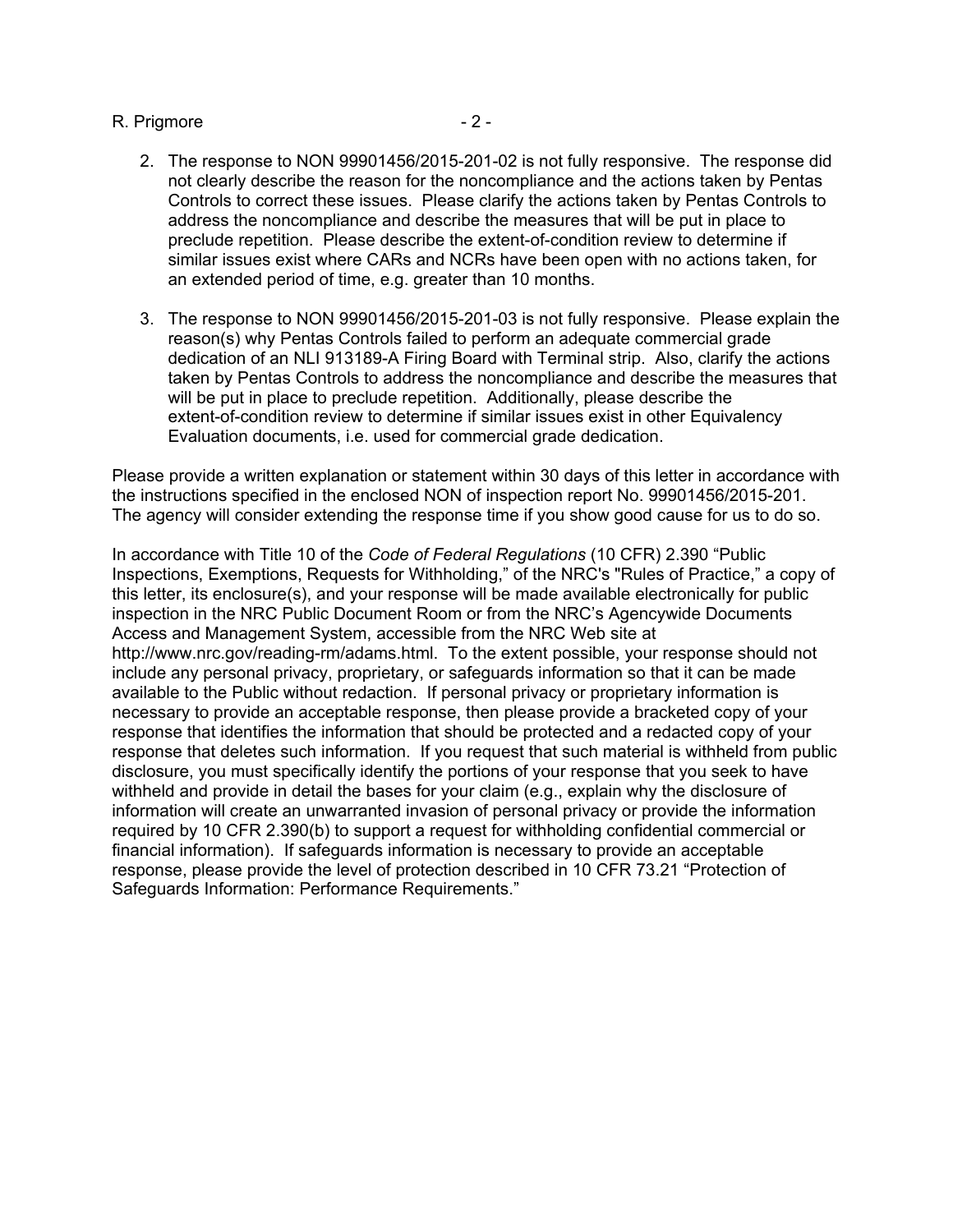#### R. Prigmore  $-2 -$

- 2. The response to NON 99901456/2015-201-02 is not fully responsive. The response did not clearly describe the reason for the noncompliance and the actions taken by Pentas Controls to correct these issues. Please clarify the actions taken by Pentas Controls to address the noncompliance and describe the measures that will be put in place to preclude repetition. Please describe the extent-of-condition review to determine if similar issues exist where CARs and NCRs have been open with no actions taken, for an extended period of time, e.g. greater than 10 months.
- 3. The response to NON 99901456/2015-201-03 is not fully responsive. Please explain the reason(s) why Pentas Controls failed to perform an adequate commercial grade dedication of an NLI 913189-A Firing Board with Terminal strip. Also, clarify the actions taken by Pentas Controls to address the noncompliance and describe the measures that will be put in place to preclude repetition. Additionally, please describe the extent-of-condition review to determine if similar issues exist in other Equivalency Evaluation documents, i.e. used for commercial grade dedication.

Please provide a written explanation or statement within 30 days of this letter in accordance with the instructions specified in the enclosed NON of inspection report No. 99901456/2015-201. The agency will consider extending the response time if you show good cause for us to do so.

In accordance with Title 10 of the *Code of Federal Regulations* (10 CFR) 2.390 "Public Inspections, Exemptions, Requests for Withholding," of the NRC's "Rules of Practice," a copy of this letter, its enclosure(s), and your response will be made available electronically for public inspection in the NRC Public Document Room or from the NRC's Agencywide Documents Access and Management System, accessible from the NRC Web site at http://www.nrc.gov/reading-rm/adams.html. To the extent possible, your response should not include any personal privacy, proprietary, or safeguards information so that it can be made available to the Public without redaction. If personal privacy or proprietary information is necessary to provide an acceptable response, then please provide a bracketed copy of your response that identifies the information that should be protected and a redacted copy of your response that deletes such information. If you request that such material is withheld from public disclosure, you must specifically identify the portions of your response that you seek to have withheld and provide in detail the bases for your claim (e.g., explain why the disclosure of information will create an unwarranted invasion of personal privacy or provide the information required by 10 CFR 2.390(b) to support a request for withholding confidential commercial or financial information). If safeguards information is necessary to provide an acceptable response, please provide the level of protection described in 10 CFR 73.21 "Protection of Safeguards Information: Performance Requirements."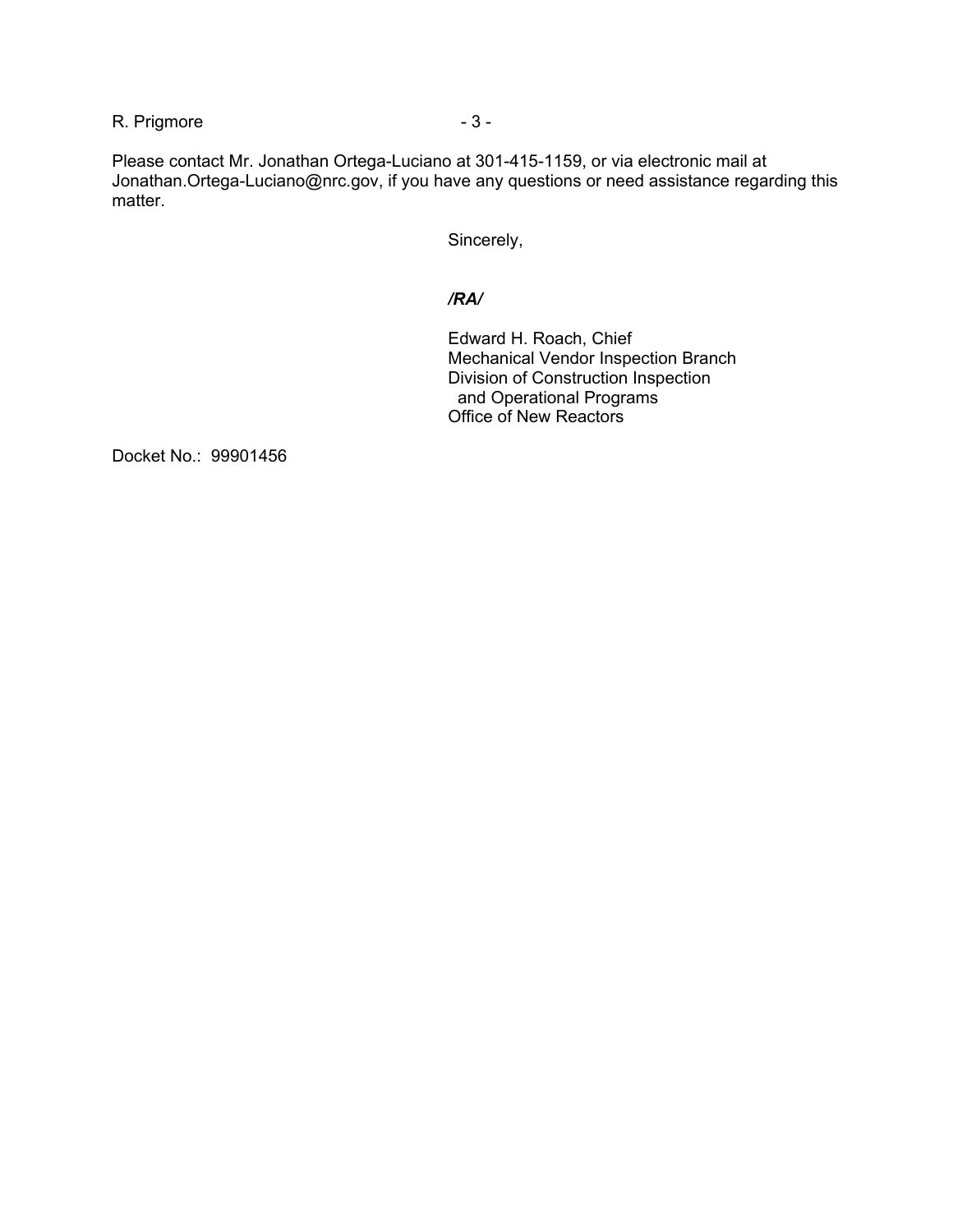R. Prigmore  $-3 -$ 

Please contact Mr. Jonathan Ortega-Luciano at 301-415-1159, or via electronic mail at Jonathan.Ortega-Luciano@nrc.gov, if you have any questions or need assistance regarding this matter.

Sincerely,

## */RA/*

Edward H. Roach, Chief Mechanical Vendor Inspection Branch Division of Construction Inspection and Operational Programs Office of New Reactors

Docket No.: 99901456